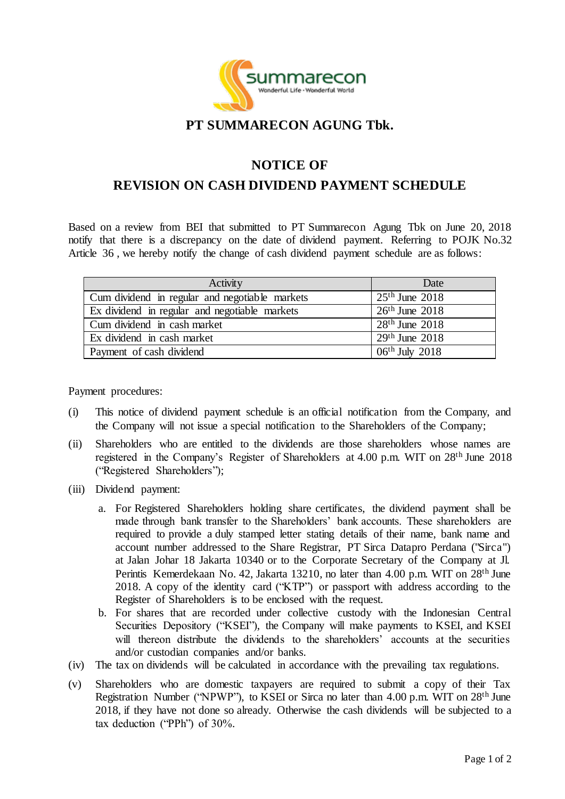

## **PT SUMMARECON AGUNG Tbk.**

## **NOTICE OF**

## **REVISION ON CASH DIVIDEND PAYMENT SCHEDULE**

Based on a review from BEI that submitted to PT Summarecon Agung Tbk on June 20, 2018 notify that there is a discrepancy on the date of dividend payment. Referring to POJK No.32 Article 36 , we hereby notify the change of cash dividend payment schedule are as follows:

| Activity                                       | Date               |
|------------------------------------------------|--------------------|
| Cum dividend in regular and negotiable markets | $25th$ June $2018$ |
| Ex dividend in regular and negotiable markets  | $26th$ June $2018$ |
| Cum dividend in cash market                    | $28th$ June $2018$ |
| Ex dividend in cash market                     | $29th$ June $2018$ |
| Payment of cash dividend                       | $06th$ July 2018   |

Payment procedures:

- (i) This notice of dividend payment schedule is an official notification from the Company, and the Company will not issue a special notification to the Shareholders of the Company;
- (ii) Shareholders who are entitled to the dividends are those shareholders whose names are registered in the Company's Register of Shareholders at 4.00 p.m. WIT on 28th June 2018 ("Registered Shareholders");
- (iii) Dividend payment:
	- a. For Registered Shareholders holding share certificates, the dividend payment shall be made through bank transfer to the Shareholders' bank accounts. These shareholders are required to provide a duly stamped letter stating details of their name, bank name and account number addressed to the Share Registrar, PT Sirca Datapro Perdana ("Sirca") at Jalan Johar 18 Jakarta 10340 or to the Corporate Secretary of the Company at Jl. Perintis Kemerdekaan No. 42, Jakarta 13210, no later than 4.00 p.m. WIT on 28<sup>th</sup> June 2018. A copy of the identity card ("KTP") or passport with address according to the Register of Shareholders is to be enclosed with the request.
	- b. For shares that are recorded under collective custody with the Indonesian Central Securities Depository ("KSEI"), the Company will make payments to KSEI, and KSEI will thereon distribute the dividends to the shareholders' accounts at the securities and/or custodian companies and/or banks.
- (iv) The tax on dividends will be calculated in accordance with the prevailing tax regulations.
- (v) Shareholders who are domestic taxpayers are required to submit a copy of their Tax Registration Number ("NPWP"), to KSEI or Sirca no later than 4.00 p.m. WIT on 28th June 2018, if they have not done so already. Otherwise the cash dividends will be subjected to a tax deduction ("PPh") of 30%.